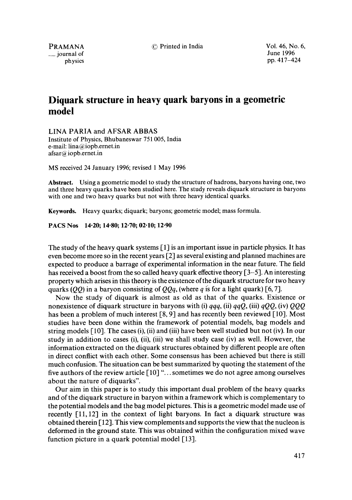$\equiv$  journal of

PRAMANA 
<sup>©</sup> Printed in India 
<sup>O</sup> Printed in India 
<sup>O</sup> Printed in India 
<sup>O</sup> Printed in India 
<sup>O</sup> Printed in India 
<sup>1996</sup> physics pp. 417-424

## **Diquark structure in heavy quark baryons in a geometric model**

LINA PARIA and AFSAR ABBAS Institute of Physics, Bhubaneswar 751005, India e-mail: lina@iopb.ernet.in  $afsar@ioph.$ ernet.in

MS received 24 January 1996; revised 1 May 1996

**Abstract.** Using a geometric model to study the structure of hadrons, baryons having one, two and three heavy quarks have been studied here. The study reveals diquark structure in baryons with one and two heavy quarks but not with three heavy identical quarks.

Keywords. Heavy quarks; diquark; baryons; geometric model; mass formula.

**PACS Nos 14-20; 14"80; 12"70; 02-10; 12"90** 

The study of the heavy quark systems  $\lceil 1 \rceil$  is an important issue in particle physics. It has even become more so in the recent years [2] as several existing and planned machines are expected to produce a barrage of experimental information in the near future. The field has received a boost from the so called heavy quark effective theory [3–5]. An interesting property which arises in this theory is the existence of the diquark structure for two heavy quarks (QQ) in a baryon consisting of  $QQq$ , (where q is for a light quark) [6, 7].

Now the study of diquark is almost as old as that of the quarks. Existence or nonexistence of diquark structure in baryons with (i) *qqq,* (ii) *qqQ,* (iii) *qQQ,* (iv) *QQQ*  has been a problem of much interest [8, 9] and has recently been reviewed [10]. Most studies have been done within the framework of potential models, bag models and string models  $[10]$ . The cases (i), (ii) and (iii) have been well studied but not (iv). In our study in addition to cases (i), (ii), (iii) we shall study case (iv) as well. However, the information extracted on the diquark structures obtained by different people are often in direct conflict with each other. Some consensus has been achieved but there is still much confusion. The situation can be best summarized by quoting the statement of the five authors of the review article [10] "... sometimes we do not agree among ourselves about the nature of diquarks".

Our aim in this paper is to study this important dual problem of the heavy quarks and of the diquark structure in baryon within a framework which is complementary to the potential models and the bag model pictures. This is a geometric model made use of recently [11,12] in the context of light baryons. In fact a diquark structure was obtained therein [12]. This view complements and supports the view that the nucleon is deformed in the ground state. This was obtained within the configuration mixed wave function picture in a quark potential model [13].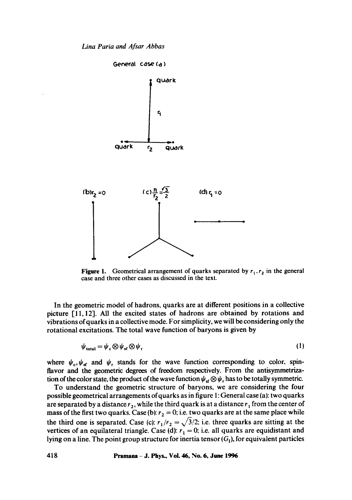

Figure 1. Geometrical arrangement of quarks separated by  $r_1, r_2$  in the general case and three other cases as discussed in the text,

In the geometric model of hadrons, quarks are at different positions in a collective picture [11, 12]. All the excited states of hadrons are obtained by rotations and vibrations of quarks in a collective mode. For simplicity, we will be considering only the rotational excitations. The total wave function of baryons is given by

$$
\psi_{\text{total}} = \psi_{\text{c}} \otimes \psi_{\text{sf}} \otimes \psi_{\text{r}} \tag{1}
$$

where  $\psi_c$ ,  $\psi_{sf}$  and  $\psi_r$  stands for the wave function corresponding to color, spinflavor and the geometric degrees of freedom respectively. From the antisymmetrization of the color state, the product of the wave function  $\psi_{\rm sf} \otimes \psi_{\rm r}$  has to be totally symmetric.

To understand the geometric structure of baryons, we are considering the four possible geometrical arrangements of quarks as in figure 1: General case (a): two quarks are separated by a distance  $r_2$ , while the third quark is at a distance  $r_1$  from the center of mass of the first two quarks. Case (b):  $r_2 = 0$ ; i.e. two quarks are at the same place while the third one is separated. Case (c):  $r_1/r_2 = \sqrt{3/2}$ : i.e. three quarks are sitting at the vertices of an equilateral triangle. Case (d):  $r_1 = 0$ ; i.e. all quarks are equidistant and lying on a line. The point group structure for inertia tensor  $(G<sub>1</sub>)$ , for equivalent particles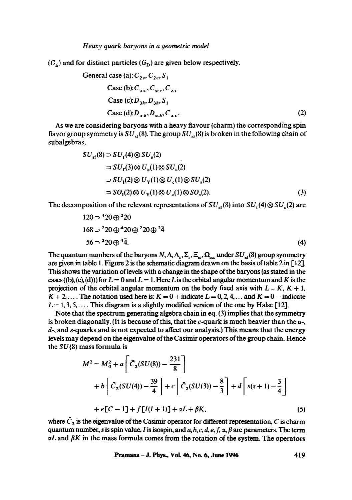$(G_F)$  and for distinct particles  $(G_D)$  are given below respectively.

General case (a): 
$$
C_{2v}
$$
,  $C_{2v}$ ,  $S_1$   
\nCase (b):  $C_{\infty v}$ ,  $C_{\infty v}$ ,  $C_{\infty v}$   
\nCase (c):  $D_{3h}$ ,  $D_{3h}$ ,  $S_1$   
\nCase (d):  $D_{\infty h}$ ,  $D_{\infty h}$ ,  $C_{\infty v}$ . (2)

As we are considering baryons with a heavy flavour (charm) the corresponding spin flavor group symmetry is  $SU_{\text{cf}}(8)$ . The group  $SU_{\text{cf}}(8)$  is broken in the following chain of subalgebras,

$$
SU_{\rm sf}(8) \supset SU_{\rm f}(4) \otimes SU_{\rm s}(2)
$$
  
\n
$$
\supset SU_{\rm f}(3) \otimes U_{\rm c}(1) \otimes SU_{\rm s}(2)
$$
  
\n
$$
\supset SU_{\rm f}(2) \otimes U_{\rm Y}(1) \otimes U_{\rm c}(1) \otimes SU_{\rm s}(2)
$$
  
\n
$$
\supset SO_{\rm f}(2) \otimes U_{\rm Y}(1) \otimes U_{\rm c}(1) \otimes SO_{\rm s}(2).
$$
 (3)

The decomposition of the relevant representations of  $SU_{\text{sf}}(8)$  into  $SU_{\text{sf}}(4) \otimes SU_{\text{sf}}(2)$  are

$$
120 \Rightarrow {}^{4}20 \oplus {}^{2}20
$$
  
\n
$$
168 \Rightarrow {}^{2}20 \oplus {}^{4}20 \oplus {}^{2}20 \oplus {}^{2}\overline{4}
$$
  
\n
$$
56 \Rightarrow {}^{2}20 \oplus {}^{4}\overline{4}.
$$
  
\n(4)

The quantum numbers of the baryons  $N, \Delta, \Lambda_c, \Sigma_c, \Xi_\alpha, \Omega_{\alpha}$  under  $SU_{\rm sf}(8)$  group symmetry are given in table 1. Figure 2 is the schematic diagram drawn on the basis of table 2 in [121. This shows the variation of levels with a change in the shape of the baryons (as stated in the cases ((b), (c), (d))) for  $L = 0$  and  $L = 1$ . Here L is the orbital angular momentum and K is the projection of the orbital angular momentum on the body fixed axis with  $L = K$ ,  $K + 1$ ,  $K + 2, \ldots$ . The notation used here is:  $K = 0 + \text{indicate } L = 0, 2, 4, \ldots$  and  $K = 0 - \text{indicate }$  $L = 1, 3, 5, \ldots$ . This diagram is a slightly modified version of the one by Halse [12].

Note that the spectrum generating algebra chain in eq. (3) implies that the symmetry is broken diagonally. (It is because of this, that the  $c$ -quark is much heavier than the  $u$ -, d-, and s-quarks and is not expected to affect our analysis.) This means that the energy levels may depend on the eigenvalue of the Casimir operators of the group chain. Hence the *SU(8)* mass formula is

$$
M^{2} = M_{0}^{2} + a \left[ \hat{C}_{2}(SU(8)) - \frac{231}{8} \right]
$$
  
+  $b \left[ \hat{C}_{2}(SU(4)) - \frac{39}{4} \right] + c \left[ \hat{C}_{2}(SU(3)) - \frac{8}{3} \right] + d \left[ s(s+1) - \frac{3}{4} \right]$   
+  $e[C-1] + f[I(I+1)] + \alpha L + \beta K,$  (5)

where  $\hat{C}_2$  is the eigenvalue of the Casimir operator for different representation, C is charm quantum number, s is spin value, I is isospin, and  $a, b, c, d, e, f, \alpha, \beta$  are parameters. The term  $\alpha L$  and  $\beta K$  in the mass formula comes from the rotation of the system. The operators

**Pramana - J. Phys., VoL 46, No. 6, June 1996 419**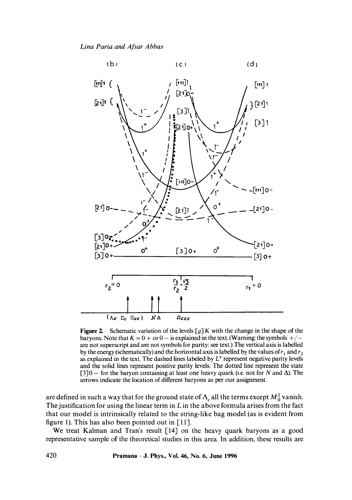

**Figure 2.** Schematic variation of the levels  $[g]K$  with the change in the shape of the baryons. Note that  $K = 0 +$  or  $0 -$  is explained in the text. (Warning: the symbols  $+/$ are not superscript and are not symbols for parity: see text.) The vertical axis is labelled by the energy (schematically) and the horizontal axis is labelled by the values of  $r_1$  and  $r_2$ as explained in the text. The dashed lines labeled by  $L^{\pi}$  represent negative parity levels and the solid lines represent positive parity levels. The dotted line represent the state  $[3]0 -$  for the baryon containing at least one heavy quark (i.e. not for N and  $\Delta$ ). The arrows indicate the location of different baryons as per our assignment.

are defined in such a way that for the ground state of  $\Lambda_c$  all the terms except  $M_0^2$  vanish. The justification for using the linear term in  $L$  in the above formula arises from the fact that our model is intrinsically related to the string-like bag model (as is evident from figure 1). This has also been pointed out in [11].

We treat Kalman and Tran's result [14] on the heavy quark baryons as a good representative sample of the theoretical studies in this area. In addition, these results are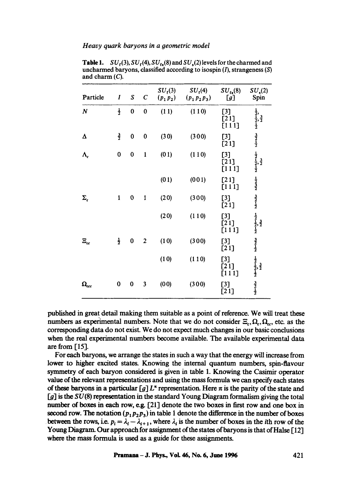*Heavy quark baryons in a 9eometric model* 

| Particle                | $\boldsymbol{I}$ | S         | $\boldsymbol{C}$ | $SU_{f}(3)$<br>$(p_1 p_2)$ | $SU_{f}(4)$<br>$(p_1 p_2 p_3)$ | $SU_{fs}(8)$<br>[g]      | $SU_s(2)$<br>Spin                                                                                                                                               |
|-------------------------|------------------|-----------|------------------|----------------------------|--------------------------------|--------------------------|-----------------------------------------------------------------------------------------------------------------------------------------------------------------|
| $\boldsymbol{N}$        | $\frac{1}{2}$    | 0         | 0                | (11)                       | (110)                          | $[3]$<br>[21]<br>[111]   | $\frac{1}{2}$ , $\frac{3}{2}$ , $\frac{3}{2}$<br>$\frac{3}{2}$<br>$\frac{3}{2}$<br>$\frac{3}{2}$<br>$\frac{1}{2}$                                               |
| Δ                       | $\frac{3}{2}$    | $\bf{0}$  | $\bf{0}$         | (30)                       | (300)                          | $[3]$<br>[21]            |                                                                                                                                                                 |
| $\Lambda_c$             | 0                | $\pmb{0}$ | $\mathbf{1}$     | (01)                       | (110)                          | $[3]$<br>$[21]$<br>[111] | $\frac{1}{2}, \frac{1}{2}, \frac{3}{2}$<br>$\frac{1}{2}, \frac{3}{2}$<br>$\frac{3}{2}, \frac{3}{2}$<br>$\frac{3}{2}, \frac{3}{2}$<br>$\frac{3}{2}, \frac{3}{2}$ |
|                         |                  |           |                  | (01)                       | (001)                          | [21]<br>[111]            |                                                                                                                                                                 |
| $\Sigma_c$              | $\mathbf{1}$     | 0         | 1                | (20)                       | (300)                          | $[3]$<br>[21]            |                                                                                                                                                                 |
|                         |                  |           |                  | (20)                       | (110)                          | $[3]$<br>[21]<br>[111]   | $\frac{1}{2}$ , $\frac{3}{2}$ , $\frac{3}{2}$                                                                                                                   |
| $\Xi_{cc}$              | $\frac{1}{2}$    | 0         | $\overline{c}$   | (10)                       | (300)                          | $[3]$<br>[21]            | $\frac{3}{2}$                                                                                                                                                   |
|                         |                  |           |                  | (10)                       | (110)                          | $[3]$<br>[21]<br>[111]   | $\frac{1}{2}$<br>$\frac{1}{2}$ , $\frac{3}{2}$<br>$\frac{1}{2}$                                                                                                 |
| $\pmb{\Omega}_{\rm cc}$ | 0                | $\bf{0}$  | 3                | (00)                       | (300)                          | $[3]$<br>[21]            | $\frac{3}{2}$                                                                                                                                                   |

**Table 1.**  $SU_f(3)$ ,  $SU_f(4)$ ,  $SU_{fs}(8)$  and  $SU_s(2)$  levels for the charmed and uncharmed baryons, classified according to isospin  $(I)$ , strangeness  $(S)$ and charm (C).

published in great detail making them suitable as a point of reference. We will treat these numbers as experimental numbers. Note that we do not consider  $\Xi_c, \Omega_c, \Omega_c$ , etc. as the corresponding data do not exist. We do not expect much changes in our basic conclusions when the real experimental numbers become available. The available experimental data are from [15].

For each baryons, we arrange the states in such a way that the energy will increase from lower to higher excited states. Knowing the internal quantum numbers, spin-tiavour symmetry of each baryon considered is given in table 1. Knowing the Casimir operator value of the relevant representations and using the mass formula we can specify each states of these baryons in a particular  $[q] L^*$  representation. Here  $\pi$  is the parity of the state and  $[g]$  is the  $SU(8)$  representation in the standard Young Diagram formalism giving the total number of boxes in each row, e.g. [21] denote the two boxes in first row and one box in second row. The notation  $(p_1p_2p_3)$  in table 1 denote the difference in the number of boxes between the rows, i.e.  $p_i = \lambda_i - \lambda_{i+1}$ , where  $\lambda_i$  is the number of boxes in the *i*th row of the Young Diagram. Our approach for assignment of the states of baryons is that of Halse [12] where the mass formula is used as a guide for these assignments.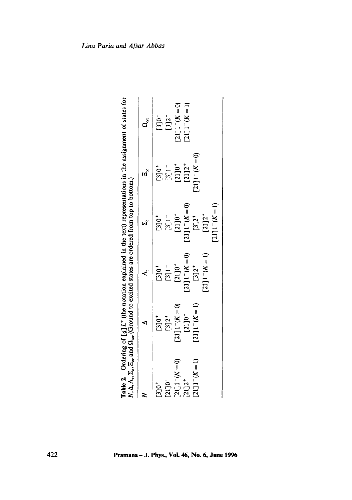|                   | <b>Table 2.</b> Ordering of $[g] L^{\pi}$ (the notation explained in the text) representations in the assignment of states for $N, \Delta, \Lambda_c, \Sigma_c, \Xi_c$ and $\Omega_{\text{esc}}$ (Ground to excited states are ordered from top to bottom.) |                                   |                                                                                                                                              |                                                                              |                                                                                       |
|-------------------|-------------------------------------------------------------------------------------------------------------------------------------------------------------------------------------------------------------------------------------------------------------|-----------------------------------|----------------------------------------------------------------------------------------------------------------------------------------------|------------------------------------------------------------------------------|---------------------------------------------------------------------------------------|
|                   |                                                                                                                                                                                                                                                             |                                   | ี<br>ผู้                                                                                                                                     | (រ)<br>(                                                                     | $\mathbf{q}^{\mathrm{cc}}$                                                            |
| $[3]0^+$          |                                                                                                                                                                                                                                                             |                                   |                                                                                                                                              |                                                                              |                                                                                       |
| $[21]0^+$         | $\begin{array}{c} 130^+ \\ 132^+ \end{array}$                                                                                                                                                                                                               | $[3]0^+$<br>$[3]1^-$<br>$[21]0^+$ |                                                                                                                                              |                                                                              | $\begin{array}{c} \textbf{[3]} \textbf{0}^+ \\ \textbf{[3]} \textbf{2}^+ \end{array}$ |
| $[21]1 - (K = 0)$ |                                                                                                                                                                                                                                                             |                                   | $\begin{bmatrix} 3 & 0 \\ 3 & 1 \end{bmatrix}$ $\begin{bmatrix} 3 & 1 \\ 2 & 1 \end{bmatrix}$ $\begin{bmatrix} 2 & 1 \\ 2 & 1 \end{bmatrix}$ | $\begin{array}{c} [3] 0^+ \\ [3] 1^- \\ [21] 0^+ \\ [21] 2^+ \\ \end{array}$ | $[21]1 - (K = 0)$                                                                     |
| $[21]2^+$         | $[21]1^-(K=0)$<br>$[21]0^+$                                                                                                                                                                                                                                 | $[21]1 - (K = 0)$                 | $[21]1 - (K = 0)$                                                                                                                            |                                                                              | $21]1 - (K = 1)$                                                                      |
| $[21]1 - (K = 1)$ | $[21]1^-(K=1)$                                                                                                                                                                                                                                              | $[3]2^{+}$                        |                                                                                                                                              | $[21]1 - (K = 0)$                                                            |                                                                                       |
|                   |                                                                                                                                                                                                                                                             | $[21]1 - (K = 1)$                 | $[3]2^+$<br>$[21]2^+$                                                                                                                        |                                                                              |                                                                                       |
|                   |                                                                                                                                                                                                                                                             |                                   | $[21]1 - (K = 1)$                                                                                                                            |                                                                              |                                                                                       |
|                   |                                                                                                                                                                                                                                                             |                                   |                                                                                                                                              |                                                                              |                                                                                       |

| ns in the assignment of state                                                                                                                                                                      |                                                                                                                                                                |
|----------------------------------------------------------------------------------------------------------------------------------------------------------------------------------------------------|----------------------------------------------------------------------------------------------------------------------------------------------------------------|
| $\sim$ 10 <sup>1</sup> L <sup><math>\pi</math></sup> (the notation explained in the text) represe-<br>The only of all of the survey<br>יווה÷יו∕) ∩ ההה<br>1<br> <br> -<br>$\overline{\phantom{a}}$ | בן באת האירונים ביניים לאת המונים באת האירונים באת האירונים ביניים ביניים ביניים ביניים ביניים ביניים ביניים ב<br><b>Control on the control of the control</b> |
| į<br>֩֩<br>Fable<br>i                                                                                                                                                                              |                                                                                                                                                                |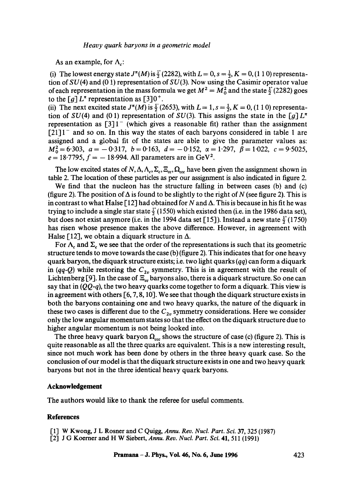As an example, for  $\Lambda_c$ :

(i) The lowest energy state  $J^{\pi}(M)$  is  $\frac{1}{2}$  (2282), with  $L = 0$ ,  $s = \frac{1}{2}$ ,  $K = 0$ , (1 1 0) representation of  $SU(4)$  and (0 1) representation of  $SU(3)$ . Now using the Casimir operator value of each representation in the mass formula we get  $M^2 = M_0^2$  and the state  $\frac{1}{2}$  (2282) goes to the  $\lceil g \rceil L^{\pi}$  representation as  $\lceil 3 \rceil 0^+$ .

(ii) The next excited state  $J^{\pi}(M)$  is  $\frac{1}{2}$  (2653), with  $L = 1$ ,  $s = \frac{1}{2}$ ,  $K = 0$ , (1 1 0) representation of  $SU(4)$  and (0.1) representation of  $SU(3)$ . This assigns the state in the [g]  $L^{\pi}$ representation as  $\lceil 3 \rceil 1$  (which gives a reasonable fit) rather than the assignment  $[21]$ <sup>-</sup> and so on. In this way the states of each baryons considered in table 1 are assigned and a global fit of the states are able to give the parameter values as:  $M_0^2 = 6.303$ ,  $a = -0.317$ ,  $b = 0.163$ ,  $d = -0.152$ ,  $\alpha = 1.297$ ,  $\beta = 1.022$ ,  $c = 9.5025$ ,  $e = 18.7795$ ,  $f = -18.994$ . All parameters are in GeV<sup>2</sup>.

The low excited states of  $N, \Delta, \Lambda_c, \Sigma_c, \Xi_{cc}, \Omega_{ccc}$  have been given the assignment shown in table 2. The location of these particles as per our assignment is also indicated in figure 2.

We find that the nucleon has the structure falling in between cases (b) and (c) (figure 2). The position of  $\Delta$  is found to be slightly to the right of N (see figure 2). This is in contrast to what Halse [12] had obtained for N and  $\Delta$ . This is because in his fit he was trying to include a single star state  $\frac{1}{2}$  (1550) which existed then (i.e. in the 1986 data set), but does not exist anymore (i.e. in the 1994 data set [15]). Instead a new state  $\frac{1}{2}$  (1750) has risen whose presence makes the above difference. However, in agreement with Halse [12], we obtain a diquark structure in  $\Delta$ .

For  $\Lambda_c$  and  $\Sigma_c$  we see that the order of the representations is such that its geometric structure tends to move towards the case (b) (figure 2). This indicates that for one heavy quark baryon, the diquark structure exists; i.e. two light quarks *(qq)* can form a diquark in  $(qq-Q)$  while restoring the  $C_{2v}$  symmetry. This is in agreement with the result of Lichtenberg [9]. In the case of  $\Xi_{cc}$  baryons also, there is a diquark structure. So one can say that in  $(QQ-q)$ , the two heavy quarks come together to form a diquark. This view is in agreement with others  $\lceil 6, 7, 8, 10 \rceil$ . We see that though the diquark structure exists in both the baryons containing one and two heavy quarks, the nature of the diquark in these two cases is different due to the  $C_{2v}$  symmetry considerations. Here we consider only the low angular momentum states so that the effect on the diquark structure due to higher angular momentum is not being looked into.

The three heavy quark baryon  $\Omega_{ccc}$  shows the structure of case (c) (figure 2). This is quite reasonable as all the three quarks are equivalent. This is a new interesting result, since not much work has been done by others in the three heavy quark case. So the conclusion of our model is that the diquark structure exists in one and two heavy quark baryons but not in the three identical heavy quark baryons.

## **Acknowledgement**

The authors would like to thank the referee for useful comments.

## **References**

- [1] W Kwong, J L Rosner and C Quigg, Annu. Rev. Nucl. Part. Sci. 37, 325 (1987)
- 1"2] J G Koerner and H W Siebert, *Annu. Rev. Nucl. Part. Sci.* 41, 511 (1991)